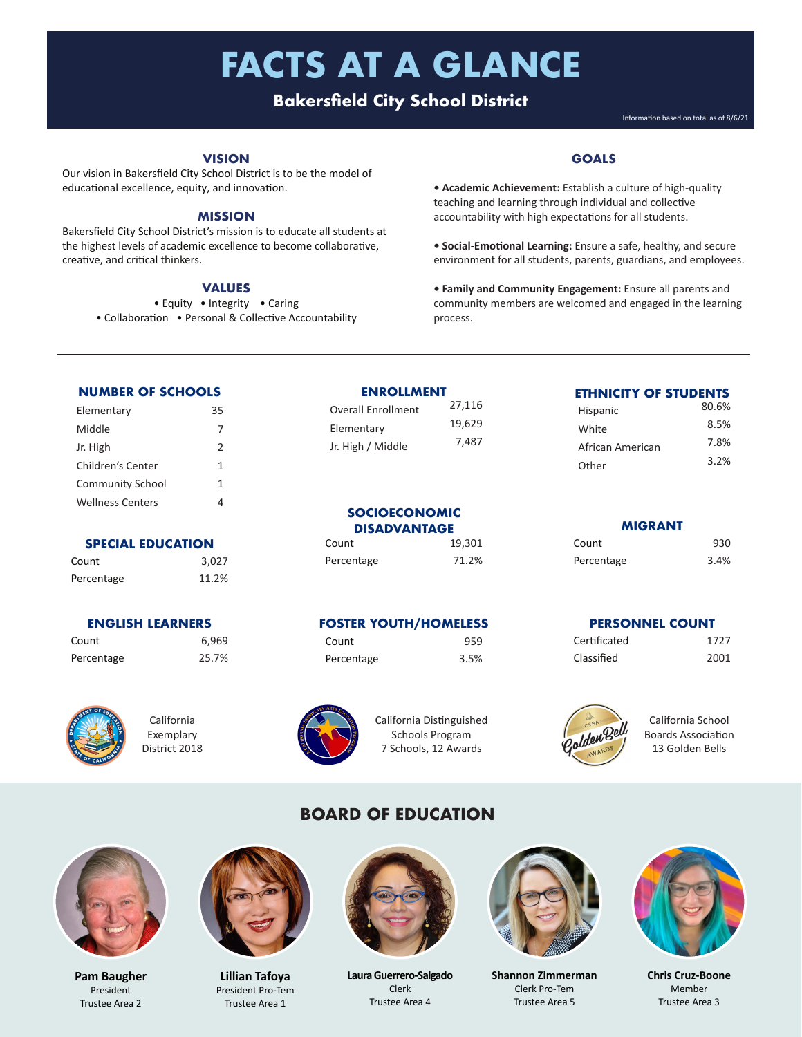# **FACTS AT A GLANCE**

### **Bakersfield City School District**

Information based on total as of 8/6/21

#### **VISION**

Our vision in Bakersfield City School District is to be the model of educational excellence, equity, and innovation.

#### **MISSION**

Bakersfield City School District's mission is to educate all students at the highest levels of academic excellence to become collaborative, creative, and critical thinkers.

#### **VALUES**

• Equity • Integrity • Caring

• Collaboration • Personal & Collective Accountability

#### **GOALS**

- **Academic Achievement:** Establish a culture of high-quality teaching and learning through individual and collective accountability with high expectations for all students.
- **Social-Emotional Learning:** Ensure a safe, healthy, and secure environment for all students, parents, guardians, and employees.
- **Family and Community Engagement:** Ensure all parents and community members are welcomed and engaged in the learning process.

Other

#### **NUMBER OF SCHOOLS**

| Elementary              | 35            |
|-------------------------|---------------|
| Middle                  | 7             |
| Jr. High                | $\mathcal{P}$ |
| Children's Center       | 1             |
| <b>Community School</b> | 1             |
| <b>Wellness Centers</b> | 4             |

#### **SPECIAL EDUCATION**

Count 3,027 Percentage 11.2%

#### **ENGLISH LEARNERS**

Count 6,969 Percentage 25.7%



California Exemplary District 2018

#### **ENROLLMENT**

Overall Enrollment 27,116 Elementary Jr. High / Middle 7,487

#### **SOCIOECONOMIC DISADVANTAGE**

Count 19,301 Percentage 71.2%

#### **FOSTER YOUTH/HOMELESS**

California Distinguished Schools Program 7 Schools, 12 Awards

3.5%

## Percentage 3.4%

| <b>PERSONNEL COUNT</b> |      |  |
|------------------------|------|--|
| Certificated           | 1727 |  |
| Classified             | 2001 |  |

**MIGRANT** Count 930

**ETHNICITY OF STUDENTS** Hispanic 80.6% White 8.5% African American 7.8%<br>3.2%



California School Boards Association 13 Golden Bells

#### **BOARD OF EDUCATION**



**Pam Baugher** President Trustee Area 2



**Lillian Tafoya** President Pro-Tem Trustee Area 1



**Laura Guerrero-Salgado** Clerk Trustee Area 4



**Shannon Zimmerman**  Clerk Pro-Tem Trustee Area 5



**Chris Cruz-Boone** Member Trustee Area 3

| Count       | 959  |
|-------------|------|
| Percentage  | 3.5% |
|             |      |
|             |      |
| and Armedia |      |